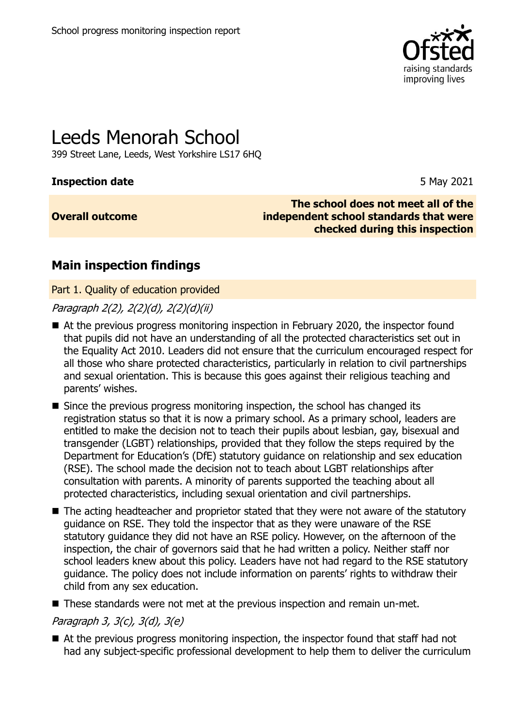

# Leeds Menorah School

399 Street Lane, Leeds, West Yorkshire LS17 6HQ

### **Inspection date** 5 May 2021

### **Overall outcome**

**The school does not meet all of the independent school standards that were checked during this inspection**

## **Main inspection findings**

Part 1. Quality of education provided

Paragraph 2(2), 2(2)(d), 2(2)(d)(ii)

- At the previous progress monitoring inspection in February 2020, the inspector found that pupils did not have an understanding of all the protected characteristics set out in the Equality Act 2010. Leaders did not ensure that the curriculum encouraged respect for all those who share protected characteristics, particularly in relation to civil partnerships and sexual orientation. This is because this goes against their religious teaching and parents' wishes.
- Since the previous progress monitoring inspection, the school has changed its registration status so that it is now a primary school. As a primary school, leaders are entitled to make the decision not to teach their pupils about lesbian, gay, bisexual and transgender (LGBT) relationships, provided that they follow the steps required by the Department for Education's (DfE) statutory guidance on relationship and sex education (RSE). The school made the decision not to teach about LGBT relationships after consultation with parents. A minority of parents supported the teaching about all protected characteristics, including sexual orientation and civil partnerships.
- The acting headteacher and proprietor stated that they were not aware of the statutory guidance on RSE. They told the inspector that as they were unaware of the RSE statutory guidance they did not have an RSE policy. However, on the afternoon of the inspection, the chair of governors said that he had written a policy. Neither staff nor school leaders knew about this policy. Leaders have not had regard to the RSE statutory guidance. The policy does not include information on parents' rights to withdraw their child from any sex education.
- These standards were not met at the previous inspection and remain un-met.

### Paragraph 3, 3(c), 3(d), 3(e)

■ At the previous progress monitoring inspection, the inspector found that staff had not had any subject-specific professional development to help them to deliver the curriculum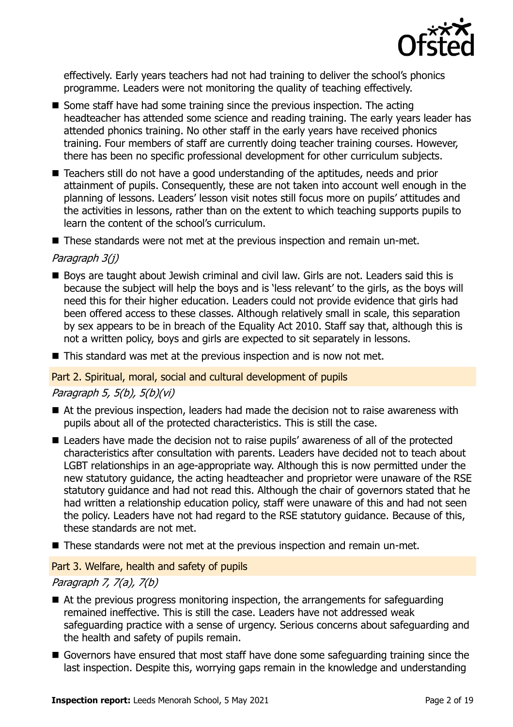

effectively. Early years teachers had not had training to deliver the school's phonics programme. Leaders were not monitoring the quality of teaching effectively.

- Some staff have had some training since the previous inspection. The acting headteacher has attended some science and reading training. The early years leader has attended phonics training. No other staff in the early years have received phonics training. Four members of staff are currently doing teacher training courses. However, there has been no specific professional development for other curriculum subjects.
- Teachers still do not have a good understanding of the aptitudes, needs and prior attainment of pupils. Consequently, these are not taken into account well enough in the planning of lessons. Leaders' lesson visit notes still focus more on pupils' attitudes and the activities in lessons, rather than on the extent to which teaching supports pupils to learn the content of the school's curriculum.

■ These standards were not met at the previous inspection and remain un-met.

### Paragraph 3(j)

- Boys are taught about Jewish criminal and civil law. Girls are not. Leaders said this is because the subject will help the boys and is 'less relevant' to the girls, as the boys will need this for their higher education. Leaders could not provide evidence that girls had been offered access to these classes. Although relatively small in scale, this separation by sex appears to be in breach of the Equality Act 2010. Staff say that, although this is not a written policy, boys and girls are expected to sit separately in lessons.
- $\blacksquare$  This standard was met at the previous inspection and is now not met.

### Part 2. Spiritual, moral, social and cultural development of pupils

### Paragraph 5, 5(b), 5(b)(vi)

- At the previous inspection, leaders had made the decision not to raise awareness with pupils about all of the protected characteristics. This is still the case.
- Leaders have made the decision not to raise pupils' awareness of all of the protected characteristics after consultation with parents. Leaders have decided not to teach about LGBT relationships in an age-appropriate way. Although this is now permitted under the new statutory guidance, the acting headteacher and proprietor were unaware of the RSE statutory guidance and had not read this. Although the chair of governors stated that he had written a relationship education policy, staff were unaware of this and had not seen the policy. Leaders have not had regard to the RSE statutory guidance. Because of this, these standards are not met.
- These standards were not met at the previous inspection and remain un-met.

### Part 3. Welfare, health and safety of pupils

### Paragraph 7, 7(a), 7(b)

- At the previous progress monitoring inspection, the arrangements for safeguarding remained ineffective. This is still the case. Leaders have not addressed weak safeguarding practice with a sense of urgency. Serious concerns about safeguarding and the health and safety of pupils remain.
- Governors have ensured that most staff have done some safeguarding training since the last inspection. Despite this, worrying gaps remain in the knowledge and understanding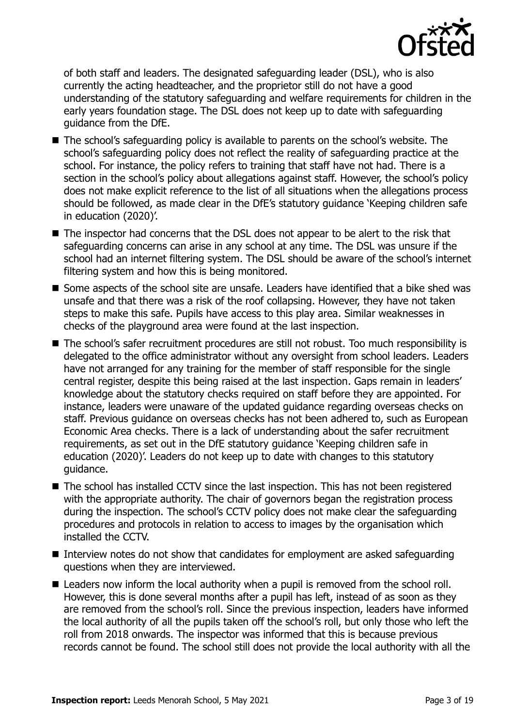

of both staff and leaders. The designated safeguarding leader (DSL), who is also currently the acting headteacher, and the proprietor still do not have a good understanding of the statutory safeguarding and welfare requirements for children in the early years foundation stage. The DSL does not keep up to date with safeguarding guidance from the DfE.

- The school's safeguarding policy is available to parents on the school's website. The school's safeguarding policy does not reflect the reality of safeguarding practice at the school. For instance, the policy refers to training that staff have not had. There is a section in the school's policy about allegations against staff. However, the school's policy does not make explicit reference to the list of all situations when the allegations process should be followed, as made clear in the DfE's statutory guidance 'Keeping children safe in education (2020)'.
- The inspector had concerns that the DSL does not appear to be alert to the risk that safeguarding concerns can arise in any school at any time. The DSL was unsure if the school had an internet filtering system. The DSL should be aware of the school's internet filtering system and how this is being monitored.
- Some aspects of the school site are unsafe. Leaders have identified that a bike shed was unsafe and that there was a risk of the roof collapsing. However, they have not taken steps to make this safe. Pupils have access to this play area. Similar weaknesses in checks of the playground area were found at the last inspection.
- The school's safer recruitment procedures are still not robust. Too much responsibility is delegated to the office administrator without any oversight from school leaders. Leaders have not arranged for any training for the member of staff responsible for the single central register, despite this being raised at the last inspection. Gaps remain in leaders' knowledge about the statutory checks required on staff before they are appointed. For instance, leaders were unaware of the updated guidance regarding overseas checks on staff. Previous guidance on overseas checks has not been adhered to, such as European Economic Area checks. There is a lack of understanding about the safer recruitment requirements, as set out in the DfE statutory guidance 'Keeping children safe in education (2020)'. Leaders do not keep up to date with changes to this statutory guidance.
- The school has installed CCTV since the last inspection. This has not been registered with the appropriate authority. The chair of governors began the registration process during the inspection. The school's CCTV policy does not make clear the safeguarding procedures and protocols in relation to access to images by the organisation which installed the CCTV.
- Interview notes do not show that candidates for employment are asked safeguarding questions when they are interviewed.
- Leaders now inform the local authority when a pupil is removed from the school roll. However, this is done several months after a pupil has left, instead of as soon as they are removed from the school's roll. Since the previous inspection, leaders have informed the local authority of all the pupils taken off the school's roll, but only those who left the roll from 2018 onwards. The inspector was informed that this is because previous records cannot be found. The school still does not provide the local authority with all the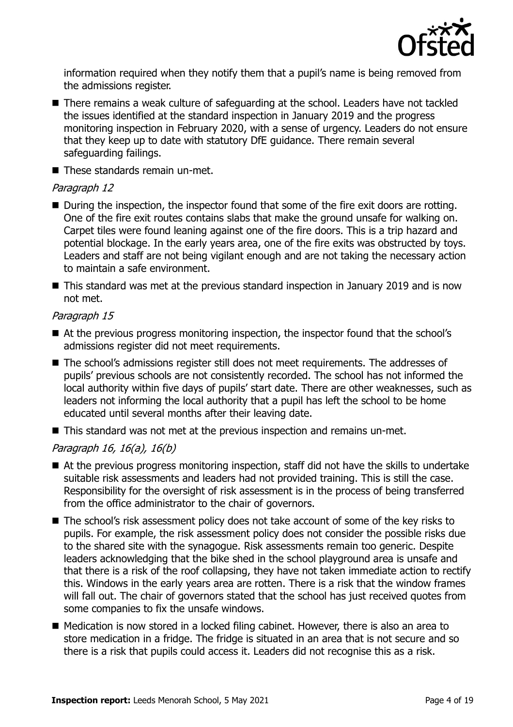

information required when they notify them that a pupil's name is being removed from the admissions register.

- There remains a weak culture of safeguarding at the school. Leaders have not tackled the issues identified at the standard inspection in January 2019 and the progress monitoring inspection in February 2020, with a sense of urgency. Leaders do not ensure that they keep up to date with statutory DfE guidance. There remain several safeguarding failings.
- These standards remain un-met.

### Paragraph 12

- During the inspection, the inspector found that some of the fire exit doors are rotting. One of the fire exit routes contains slabs that make the ground unsafe for walking on. Carpet tiles were found leaning against one of the fire doors. This is a trip hazard and potential blockage. In the early years area, one of the fire exits was obstructed by toys. Leaders and staff are not being vigilant enough and are not taking the necessary action to maintain a safe environment.
- This standard was met at the previous standard inspection in January 2019 and is now not met.

### Paragraph 15

- At the previous progress monitoring inspection, the inspector found that the school's admissions register did not meet requirements.
- The school's admissions register still does not meet requirements. The addresses of pupils' previous schools are not consistently recorded. The school has not informed the local authority within five days of pupils' start date. There are other weaknesses, such as leaders not informing the local authority that a pupil has left the school to be home educated until several months after their leaving date.
- This standard was not met at the previous inspection and remains un-met.

### Paragraph 16, 16(a), 16(b)

- $\blacksquare$  At the previous progress monitoring inspection, staff did not have the skills to undertake suitable risk assessments and leaders had not provided training. This is still the case. Responsibility for the oversight of risk assessment is in the process of being transferred from the office administrator to the chair of governors.
- The school's risk assessment policy does not take account of some of the key risks to pupils. For example, the risk assessment policy does not consider the possible risks due to the shared site with the synagogue. Risk assessments remain too generic. Despite leaders acknowledging that the bike shed in the school playground area is unsafe and that there is a risk of the roof collapsing, they have not taken immediate action to rectify this. Windows in the early years area are rotten. There is a risk that the window frames will fall out. The chair of governors stated that the school has just received quotes from some companies to fix the unsafe windows.
- Medication is now stored in a locked filing cabinet. However, there is also an area to store medication in a fridge. The fridge is situated in an area that is not secure and so there is a risk that pupils could access it. Leaders did not recognise this as a risk.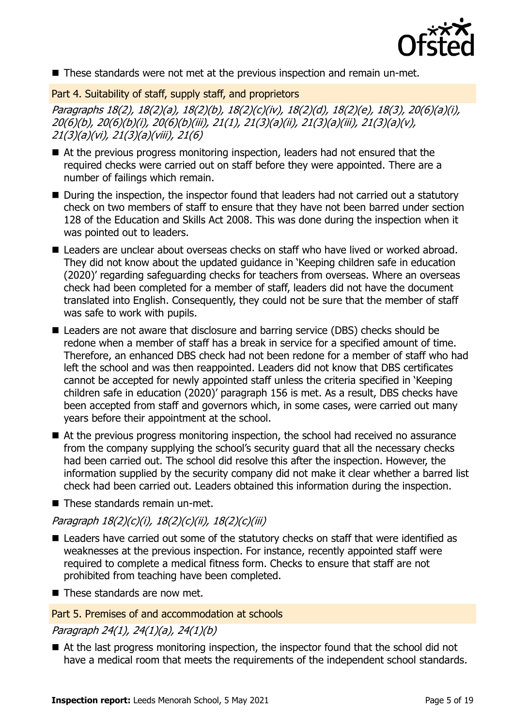

■ These standards were not met at the previous inspection and remain un-met.

Part 4. Suitability of staff, supply staff, and proprietors

Paragraphs 18(2), 18(2)(a), 18(2)(b), 18(2)(c)(iv), 18(2)(d), 18(2)(e), 18(3), 20(6)(a)(i), 20(6)(b), 20(6)(b)(i), 20(6)(b)(iii), 21(1), 21(3)(a)(ii), 21(3)(a)(iii), 21(3)(a)(v), 21(3)(a)(vi), 21(3)(a)(viii), 21(6)

- At the previous progress monitoring inspection, leaders had not ensured that the required checks were carried out on staff before they were appointed. There are a number of failings which remain.
- During the inspection, the inspector found that leaders had not carried out a statutory check on two members of staff to ensure that they have not been barred under section 128 of the Education and Skills Act 2008. This was done during the inspection when it was pointed out to leaders.
- Leaders are unclear about overseas checks on staff who have lived or worked abroad. They did not know about the updated guidance in 'Keeping children safe in education (2020)' regarding safeguarding checks for teachers from overseas. Where an overseas check had been completed for a member of staff, leaders did not have the document translated into English. Consequently, they could not be sure that the member of staff was safe to work with pupils.
- Leaders are not aware that disclosure and barring service (DBS) checks should be redone when a member of staff has a break in service for a specified amount of time. Therefore, an enhanced DBS check had not been redone for a member of staff who had left the school and was then reappointed. Leaders did not know that DBS certificates cannot be accepted for newly appointed staff unless the criteria specified in 'Keeping children safe in education (2020)' paragraph 156 is met. As a result, DBS checks have been accepted from staff and governors which, in some cases, were carried out many years before their appointment at the school.
- At the previous progress monitoring inspection, the school had received no assurance from the company supplying the school's security guard that all the necessary checks had been carried out. The school did resolve this after the inspection. However, the information supplied by the security company did not make it clear whether a barred list check had been carried out. Leaders obtained this information during the inspection.

■ These standards remain un-met.

Paragraph 18(2)(c)(i), 18(2)(c)(ii), 18(2)(c)(iii)

- Leaders have carried out some of the statutory checks on staff that were identified as weaknesses at the previous inspection. For instance, recently appointed staff were required to complete a medical fitness form. Checks to ensure that staff are not prohibited from teaching have been completed.
- These standards are now met.

### Part 5. Premises of and accommodation at schools

Paragraph 24(1), 24(1)(a), 24(1)(b)

■ At the last progress monitoring inspection, the inspector found that the school did not have a medical room that meets the requirements of the independent school standards.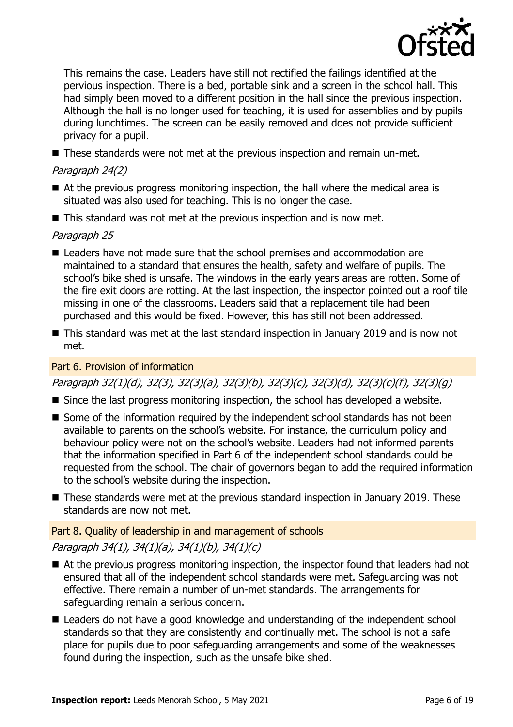

This remains the case. Leaders have still not rectified the failings identified at the pervious inspection. There is a bed, portable sink and a screen in the school hall. This had simply been moved to a different position in the hall since the previous inspection. Although the hall is no longer used for teaching, it is used for assemblies and by pupils during lunchtimes. The screen can be easily removed and does not provide sufficient privacy for a pupil.

■ These standards were not met at the previous inspection and remain un-met.

### Paragraph 24(2)

- At the previous progress monitoring inspection, the hall where the medical area is situated was also used for teaching. This is no longer the case.
- This standard was not met at the previous inspection and is now met.

### Paragraph 25

- Leaders have not made sure that the school premises and accommodation are maintained to a standard that ensures the health, safety and welfare of pupils. The school's bike shed is unsafe. The windows in the early years areas are rotten. Some of the fire exit doors are rotting. At the last inspection, the inspector pointed out a roof tile missing in one of the classrooms. Leaders said that a replacement tile had been purchased and this would be fixed. However, this has still not been addressed.
- This standard was met at the last standard inspection in January 2019 and is now not met.

### Part 6. Provision of information

Paragraph 32(1)(d), 32(3), 32(3)(a), 32(3)(b), 32(3)(c), 32(3)(d), 32(3)(c)(f), 32(3)(g)

- Since the last progress monitoring inspection, the school has developed a website.
- Some of the information required by the independent school standards has not been available to parents on the school's website. For instance, the curriculum policy and behaviour policy were not on the school's website. Leaders had not informed parents that the information specified in Part 6 of the independent school standards could be requested from the school. The chair of governors began to add the required information to the school's website during the inspection.
- These standards were met at the previous standard inspection in January 2019. These standards are now not met.

### Part 8. Quality of leadership in and management of schools

### Paragraph 34(1), 34(1)(a), 34(1)(b), 34(1)(c)

- At the previous progress monitoring inspection, the inspector found that leaders had not ensured that all of the independent school standards were met. Safeguarding was not effective. There remain a number of un-met standards. The arrangements for safeguarding remain a serious concern.
- Leaders do not have a good knowledge and understanding of the independent school standards so that they are consistently and continually met. The school is not a safe place for pupils due to poor safeguarding arrangements and some of the weaknesses found during the inspection, such as the unsafe bike shed.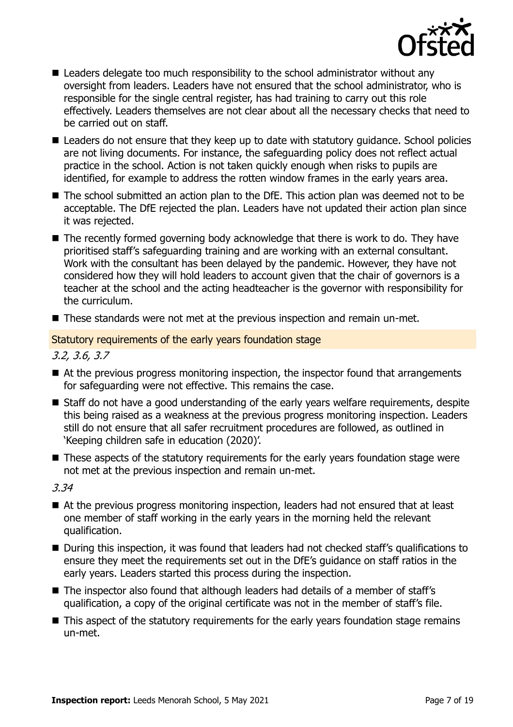

- Leaders delegate too much responsibility to the school administrator without any oversight from leaders. Leaders have not ensured that the school administrator, who is responsible for the single central register, has had training to carry out this role effectively. Leaders themselves are not clear about all the necessary checks that need to be carried out on staff.
- Leaders do not ensure that they keep up to date with statutory guidance. School policies are not living documents. For instance, the safeguarding policy does not reflect actual practice in the school. Action is not taken quickly enough when risks to pupils are identified, for example to address the rotten window frames in the early years area.
- The school submitted an action plan to the DfE. This action plan was deemed not to be acceptable. The DfE rejected the plan. Leaders have not updated their action plan since it was rejected.
- The recently formed governing body acknowledge that there is work to do. They have prioritised staff's safeguarding training and are working with an external consultant. Work with the consultant has been delayed by the pandemic. However, they have not considered how they will hold leaders to account given that the chair of governors is a teacher at the school and the acting headteacher is the governor with responsibility for the curriculum.
- These standards were not met at the previous inspection and remain un-met.

### Statutory requirements of the early years foundation stage

3.2, 3.6, 3.7

- At the previous progress monitoring inspection, the inspector found that arrangements for safeguarding were not effective. This remains the case.
- Staff do not have a good understanding of the early years welfare requirements, despite this being raised as a weakness at the previous progress monitoring inspection. Leaders still do not ensure that all safer recruitment procedures are followed, as outlined in 'Keeping children safe in education (2020)'.
- These aspects of the statutory requirements for the early years foundation stage were not met at the previous inspection and remain un-met.

3.34

- At the previous progress monitoring inspection, leaders had not ensured that at least one member of staff working in the early years in the morning held the relevant qualification.
- During this inspection, it was found that leaders had not checked staff's qualifications to ensure they meet the requirements set out in the DfE's guidance on staff ratios in the early years. Leaders started this process during the inspection.
- The inspector also found that although leaders had details of a member of staff's qualification, a copy of the original certificate was not in the member of staff's file.
- This aspect of the statutory requirements for the early years foundation stage remains un-met.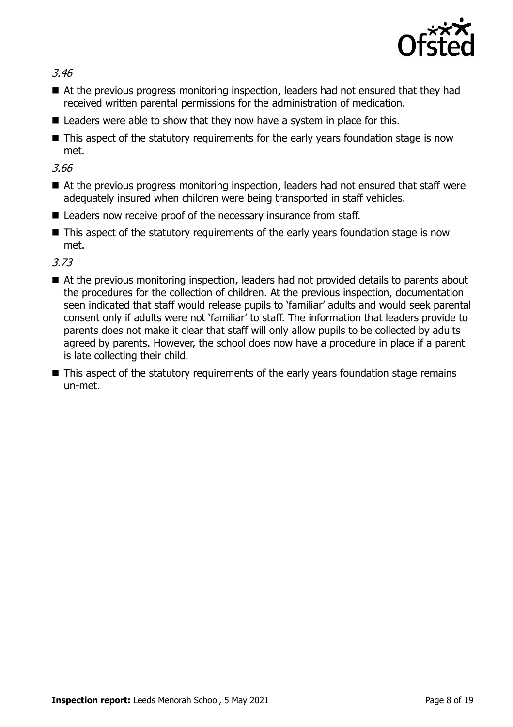

3.46

- At the previous progress monitoring inspection, leaders had not ensured that they had received written parental permissions for the administration of medication.
- Leaders were able to show that they now have a system in place for this.
- This aspect of the statutory requirements for the early years foundation stage is now met.

3.66

- At the previous progress monitoring inspection, leaders had not ensured that staff were adequately insured when children were being transported in staff vehicles.
- Leaders now receive proof of the necessary insurance from staff.
- This aspect of the statutory requirements of the early years foundation stage is now met.

3.73

- At the previous monitoring inspection, leaders had not provided details to parents about the procedures for the collection of children. At the previous inspection, documentation seen indicated that staff would release pupils to 'familiar' adults and would seek parental consent only if adults were not 'familiar' to staff. The information that leaders provide to parents does not make it clear that staff will only allow pupils to be collected by adults agreed by parents. However, the school does now have a procedure in place if a parent is late collecting their child.
- This aspect of the statutory requirements of the early years foundation stage remains un-met.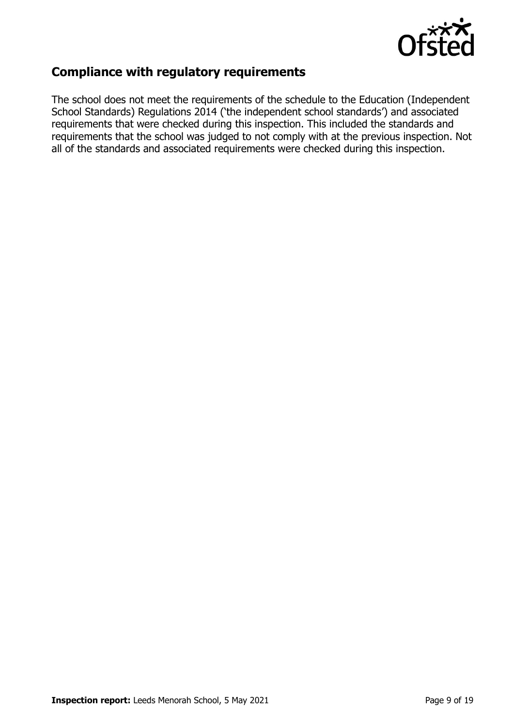

### **Compliance with regulatory requirements**

The school does not meet the requirements of the schedule to the Education (Independent School Standards) Regulations 2014 ('the independent school standards') and associated requirements that were checked during this inspection. This included the standards and requirements that the school was judged to not comply with at the previous inspection. Not all of the standards and associated requirements were checked during this inspection.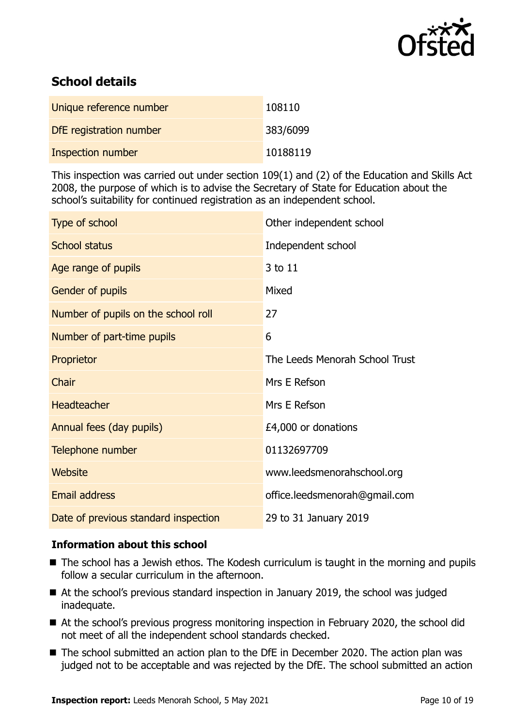

## **School details**

| Unique reference number  | 108110   |
|--------------------------|----------|
| DfE registration number  | 383/6099 |
| <b>Inspection number</b> | 10188119 |

This inspection was carried out under section 109(1) and (2) of the Education and Skills Act 2008, the purpose of which is to advise the Secretary of State for Education about the school's suitability for continued registration as an independent school.

| Type of school                       | Other independent school       |
|--------------------------------------|--------------------------------|
| <b>School status</b>                 | Independent school             |
| Age range of pupils                  | 3 to 11                        |
| Gender of pupils                     | Mixed                          |
| Number of pupils on the school roll  | 27                             |
| Number of part-time pupils           | 6                              |
| Proprietor                           | The Leeds Menorah School Trust |
| Chair                                | Mrs E Refson                   |
| <b>Headteacher</b>                   | Mrs E Refson                   |
| Annual fees (day pupils)             | £4,000 or donations            |
| Telephone number                     | 01132697709                    |
| <b>Website</b>                       | www.leedsmenorahschool.org     |
| <b>Email address</b>                 | office.leedsmenorah@gmail.com  |
| Date of previous standard inspection | 29 to 31 January 2019          |

### **Information about this school**

- The school has a Jewish ethos. The Kodesh curriculum is taught in the morning and pupils follow a secular curriculum in the afternoon.
- At the school's previous standard inspection in January 2019, the school was judged inadequate.
- At the school's previous progress monitoring inspection in February 2020, the school did not meet of all the independent school standards checked.
- The school submitted an action plan to the DfE in December 2020. The action plan was judged not to be acceptable and was rejected by the DfE. The school submitted an action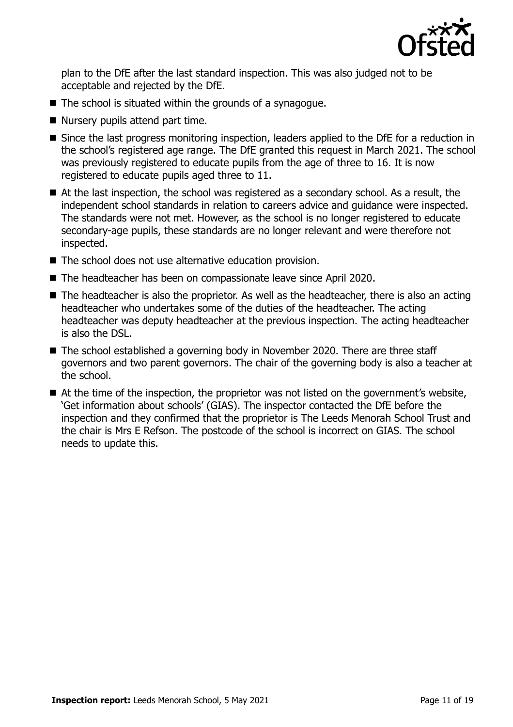

plan to the DfE after the last standard inspection. This was also judged not to be acceptable and rejected by the DfE.

- The school is situated within the grounds of a synagogue.
- Nursery pupils attend part time.
- Since the last progress monitoring inspection, leaders applied to the DfE for a reduction in the school's registered age range. The DfE granted this request in March 2021. The school was previously registered to educate pupils from the age of three to 16. It is now registered to educate pupils aged three to 11.
- At the last inspection, the school was registered as a secondary school. As a result, the independent school standards in relation to careers advice and guidance were inspected. The standards were not met. However, as the school is no longer registered to educate secondary-age pupils, these standards are no longer relevant and were therefore not inspected.
- The school does not use alternative education provision.
- The headteacher has been on compassionate leave since April 2020.
- The headteacher is also the proprietor. As well as the headteacher, there is also an acting headteacher who undertakes some of the duties of the headteacher. The acting headteacher was deputy headteacher at the previous inspection. The acting headteacher is also the DSL.
- The school established a governing body in November 2020. There are three staff governors and two parent governors. The chair of the governing body is also a teacher at the school.
- At the time of the inspection, the proprietor was not listed on the government's website, 'Get information about schools' (GIAS). The inspector contacted the DfE before the inspection and they confirmed that the proprietor is The Leeds Menorah School Trust and the chair is Mrs E Refson. The postcode of the school is incorrect on GIAS. The school needs to update this.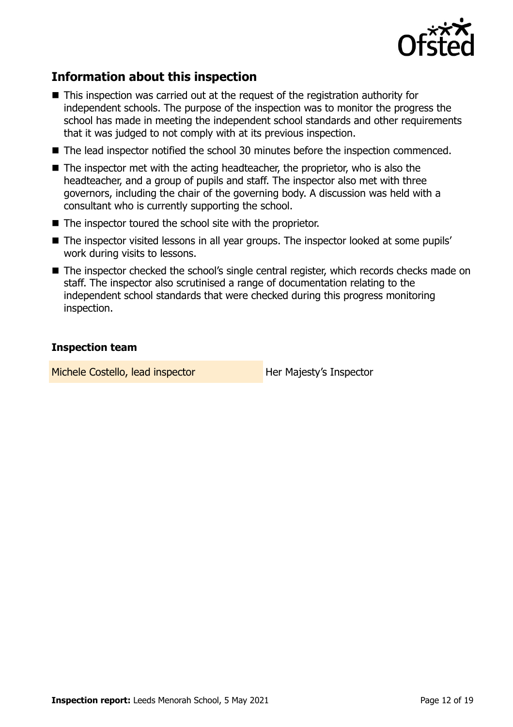

### **Information about this inspection**

- This inspection was carried out at the request of the registration authority for independent schools. The purpose of the inspection was to monitor the progress the school has made in meeting the independent school standards and other requirements that it was judged to not comply with at its previous inspection.
- The lead inspector notified the school 30 minutes before the inspection commenced.
- $\blacksquare$  The inspector met with the acting headteacher, the proprietor, who is also the headteacher, and a group of pupils and staff. The inspector also met with three governors, including the chair of the governing body. A discussion was held with a consultant who is currently supporting the school.
- The inspector toured the school site with the proprietor.
- The inspector visited lessons in all year groups. The inspector looked at some pupils' work during visits to lessons.
- The inspector checked the school's single central register, which records checks made on staff. The inspector also scrutinised a range of documentation relating to the independent school standards that were checked during this progress monitoring inspection.

### **Inspection team**

Michele Costello, lead inspector **Her Majesty's Inspector**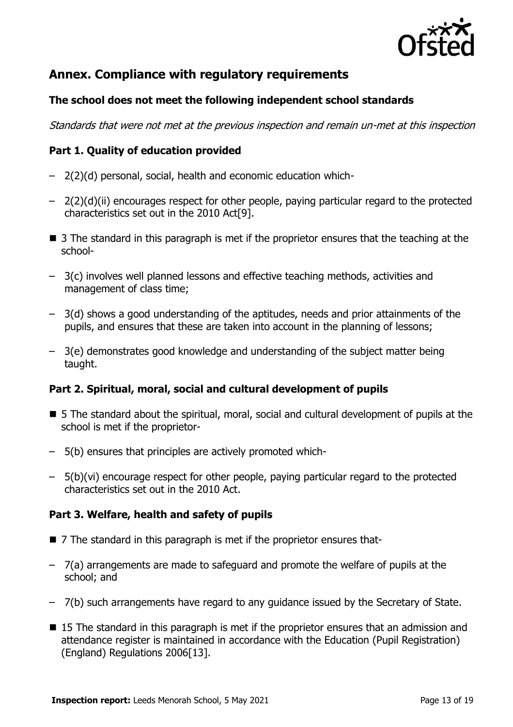

### **Annex. Compliance with regulatory requirements**

### **The school does not meet the following independent school standards**

Standards that were not met at the previous inspection and remain un-met at this inspection

### **Part 1. Quality of education provided**

- 2(2)(d) personal, social, health and economic education which-
- $-$  2(2)(d)(ii) encourages respect for other people, paying particular regard to the protected characteristics set out in the 2010 Act[9].
- $\blacksquare$  3 The standard in this paragraph is met if the proprietor ensures that the teaching at the school-
- 3(c) involves well planned lessons and effective teaching methods, activities and management of class time;
- 3(d) shows a good understanding of the aptitudes, needs and prior attainments of the pupils, and ensures that these are taken into account in the planning of lessons;
- 3(e) demonstrates good knowledge and understanding of the subject matter being taught.

### **Part 2. Spiritual, moral, social and cultural development of pupils**

- 5 The standard about the spiritual, moral, social and cultural development of pupils at the school is met if the proprietor-
- 5(b) ensures that principles are actively promoted which-
- 5(b)(vi) encourage respect for other people, paying particular regard to the protected characteristics set out in the 2010 Act.

### **Part 3. Welfare, health and safety of pupils**

- 7 The standard in this paragraph is met if the proprietor ensures that-
- 7(a) arrangements are made to safeguard and promote the welfare of pupils at the school; and
- 7(b) such arrangements have regard to any guidance issued by the Secretary of State.
- 15 The standard in this paragraph is met if the proprietor ensures that an admission and attendance register is maintained in accordance with the Education (Pupil Registration) (England) Regulations 2006[13].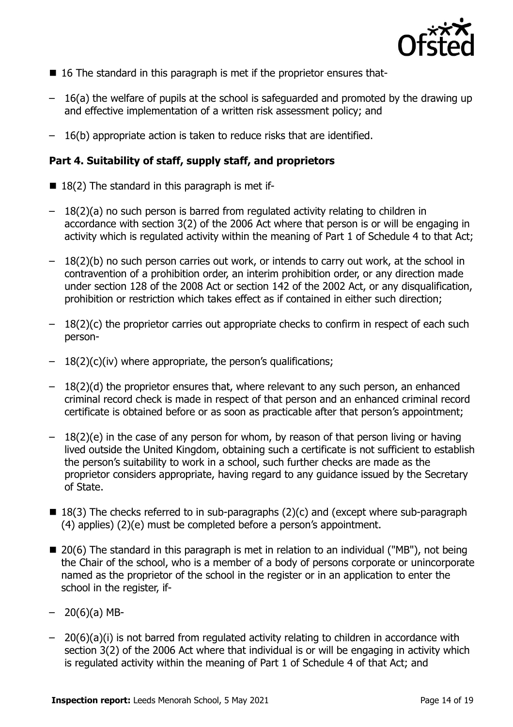

- $\blacksquare$  16 The standard in this paragraph is met if the proprietor ensures that-
- 16(a) the welfare of pupils at the school is safeguarded and promoted by the drawing up and effective implementation of a written risk assessment policy; and
- 16(b) appropriate action is taken to reduce risks that are identified.

### **Part 4. Suitability of staff, supply staff, and proprietors**

- $\blacksquare$  18(2) The standard in this paragraph is met if-
- 18(2)(a) no such person is barred from regulated activity relating to children in accordance with section 3(2) of the 2006 Act where that person is or will be engaging in activity which is regulated activity within the meaning of Part 1 of Schedule 4 to that Act;
- 18(2)(b) no such person carries out work, or intends to carry out work, at the school in contravention of a prohibition order, an interim prohibition order, or any direction made under section 128 of the 2008 Act or section 142 of the 2002 Act, or any disqualification, prohibition or restriction which takes effect as if contained in either such direction;
- $-18(2)(c)$  the proprietor carries out appropriate checks to confirm in respect of each such person-
- $-18(2)(c)(iv)$  where appropriate, the person's qualifications;
- $-18(2)(d)$  the proprietor ensures that, where relevant to any such person, an enhanced criminal record check is made in respect of that person and an enhanced criminal record certificate is obtained before or as soon as practicable after that person's appointment;
- 18(2)(e) in the case of any person for whom, by reason of that person living or having lived outside the United Kingdom, obtaining such a certificate is not sufficient to establish the person's suitability to work in a school, such further checks are made as the proprietor considers appropriate, having regard to any guidance issued by the Secretary of State.
- $\blacksquare$  18(3) The checks referred to in sub-paragraphs (2)(c) and (except where sub-paragraph (4) applies) (2)(e) must be completed before a person's appointment.
- 20(6) The standard in this paragraph is met in relation to an individual ("MB"), not being the Chair of the school, who is a member of a body of persons corporate or unincorporate named as the proprietor of the school in the register or in an application to enter the school in the register, if-
- $-20(6)(a)$  MB-
- 20(6)(a)(i) is not barred from regulated activity relating to children in accordance with section 3(2) of the 2006 Act where that individual is or will be engaging in activity which is regulated activity within the meaning of Part 1 of Schedule 4 of that Act; and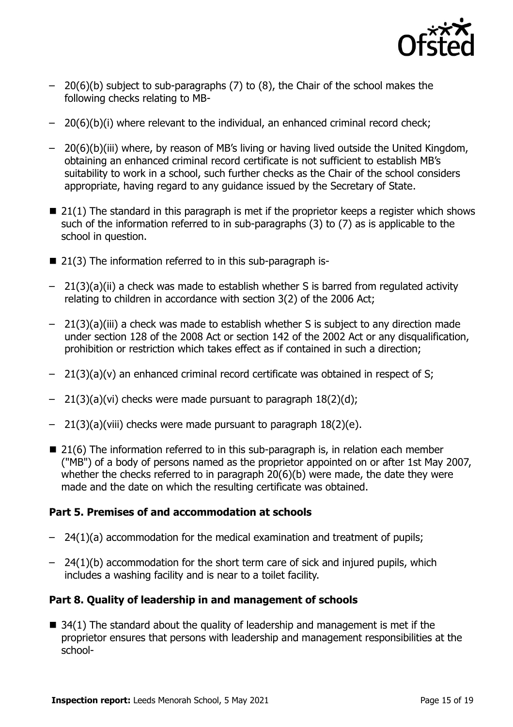

- 20(6)(b) subject to sub-paragraphs (7) to (8), the Chair of the school makes the following checks relating to MB-
- 20(6)(b)(i) where relevant to the individual, an enhanced criminal record check;
- 20(6)(b)(iii) where, by reason of MB's living or having lived outside the United Kingdom, obtaining an enhanced criminal record certificate is not sufficient to establish MB's suitability to work in a school, such further checks as the Chair of the school considers appropriate, having regard to any guidance issued by the Secretary of State.
- $\blacksquare$  21(1) The standard in this paragraph is met if the proprietor keeps a register which shows such of the information referred to in sub-paragraphs (3) to (7) as is applicable to the school in question.
- 21(3) The information referred to in this sub-paragraph is-
- 21(3)(a)(ii) a check was made to establish whether S is barred from regulated activity relating to children in accordance with section 3(2) of the 2006 Act;
- 21(3)(a)(iii) a check was made to establish whether S is subject to any direction made under section 128 of the 2008 Act or section 142 of the 2002 Act or any disqualification, prohibition or restriction which takes effect as if contained in such a direction;
- $-$  21(3)(a)(v) an enhanced criminal record certificate was obtained in respect of S;
- 21(3)(a)(vi) checks were made pursuant to paragraph 18(2)(d);
- $-$  21(3)(a)(viii) checks were made pursuant to paragraph  $18(2)(e)$ .
- $\blacksquare$  21(6) The information referred to in this sub-paragraph is, in relation each member ("MB") of a body of persons named as the proprietor appointed on or after 1st May 2007, whether the checks referred to in paragraph 20(6)(b) were made, the date they were made and the date on which the resulting certificate was obtained.

### **Part 5. Premises of and accommodation at schools**

- 24(1)(a) accommodation for the medical examination and treatment of pupils;
- $-$  24(1)(b) accommodation for the short term care of sick and injured pupils, which includes a washing facility and is near to a toilet facility.

### **Part 8. Quality of leadership in and management of schools**

 $\blacksquare$  34(1) The standard about the quality of leadership and management is met if the proprietor ensures that persons with leadership and management responsibilities at the school-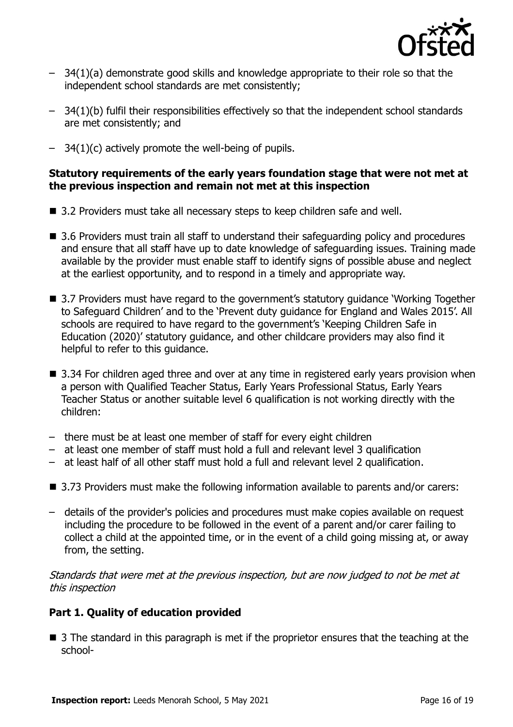

- 34(1)(a) demonstrate good skills and knowledge appropriate to their role so that the independent school standards are met consistently;
- 34(1)(b) fulfil their responsibilities effectively so that the independent school standards are met consistently; and
- $-$  34(1)(c) actively promote the well-being of pupils.

### **Statutory requirements of the early years foundation stage that were not met at the previous inspection and remain not met at this inspection**

- 3.2 Providers must take all necessary steps to keep children safe and well.
- 3.6 Providers must train all staff to understand their safeguarding policy and procedures and ensure that all staff have up to date knowledge of safeguarding issues. Training made available by the provider must enable staff to identify signs of possible abuse and neglect at the earliest opportunity, and to respond in a timely and appropriate way.
- 3.7 Providers must have regard to the government's statutory guidance 'Working Together to Safeguard Children' and to the 'Prevent duty guidance for England and Wales 2015'. All schools are required to have regard to the government's 'Keeping Children Safe in Education (2020)' statutory guidance, and other childcare providers may also find it helpful to refer to this guidance.
- 3.34 For children aged three and over at any time in registered early years provision when a person with Qualified Teacher Status, Early Years Professional Status, Early Years Teacher Status or another suitable level 6 qualification is not working directly with the children:
- there must be at least one member of staff for every eight children
- at least one member of staff must hold a full and relevant level 3 qualification
- at least half of all other staff must hold a full and relevant level 2 qualification.
- 3.73 Providers must make the following information available to parents and/or carers:
- details of the provider's policies and procedures must make copies available on request including the procedure to be followed in the event of a parent and/or carer failing to collect a child at the appointed time, or in the event of a child going missing at, or away from, the setting.

Standards that were met at the previous inspection, but are now judged to not be met at this inspection

### **Part 1. Quality of education provided**

■ 3 The standard in this paragraph is met if the proprietor ensures that the teaching at the school-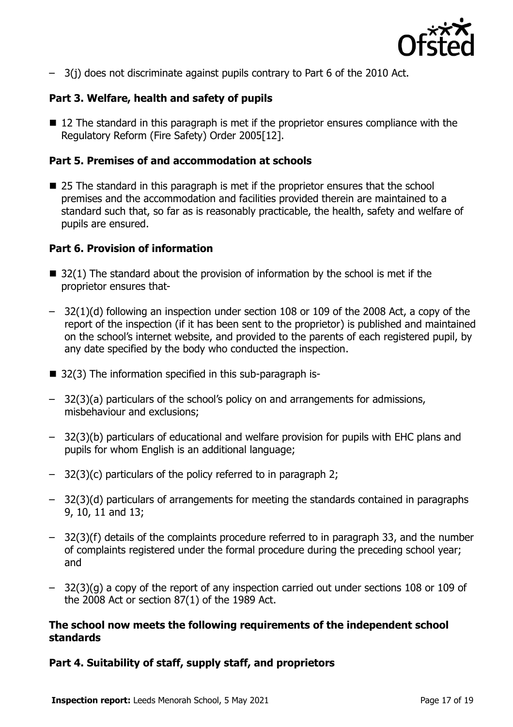

– 3(j) does not discriminate against pupils contrary to Part 6 of the 2010 Act.

### **Part 3. Welfare, health and safety of pupils**

■ 12 The standard in this paragraph is met if the proprietor ensures compliance with the Regulatory Reform (Fire Safety) Order 2005[12].

### **Part 5. Premises of and accommodation at schools**

■ 25 The standard in this paragraph is met if the proprietor ensures that the school premises and the accommodation and facilities provided therein are maintained to a standard such that, so far as is reasonably practicable, the health, safety and welfare of pupils are ensured.

### **Part 6. Provision of information**

- $\blacksquare$  32(1) The standard about the provision of information by the school is met if the proprietor ensures that-
- 32(1)(d) following an inspection under section 108 or 109 of the 2008 Act, a copy of the report of the inspection (if it has been sent to the proprietor) is published and maintained on the school's internet website, and provided to the parents of each registered pupil, by any date specified by the body who conducted the inspection.
- 32(3) The information specified in this sub-paragraph is-
- 32(3)(a) particulars of the school's policy on and arrangements for admissions, misbehaviour and exclusions;
- 32(3)(b) particulars of educational and welfare provision for pupils with EHC plans and pupils for whom English is an additional language;
- 32(3)(c) particulars of the policy referred to in paragraph 2;
- 32(3)(d) particulars of arrangements for meeting the standards contained in paragraphs 9, 10, 11 and 13;
- 32(3)(f) details of the complaints procedure referred to in paragraph 33, and the number of complaints registered under the formal procedure during the preceding school year; and
- 32(3)(g) a copy of the report of any inspection carried out under sections 108 or 109 of the 2008 Act or section 87(1) of the 1989 Act.

### **The school now meets the following requirements of the independent school standards**

### **Part 4. Suitability of staff, supply staff, and proprietors**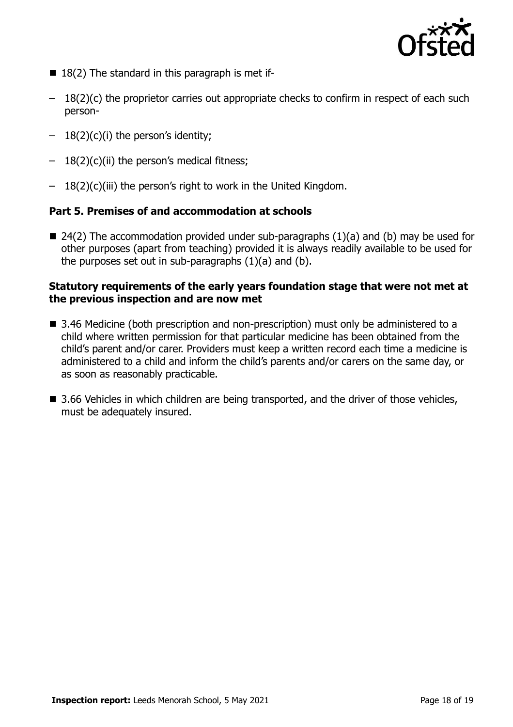

- $\blacksquare$  18(2) The standard in this paragraph is met if-
- $-18(2)(c)$  the proprietor carries out appropriate checks to confirm in respect of each such person-
- $-18(2)(c)(i)$  the person's identity;
- $-18(2)(c)(ii)$  the person's medical fitness;
- 18(2)(c)(iii) the person's right to work in the United Kingdom.

### **Part 5. Premises of and accommodation at schools**

 $\blacksquare$  24(2) The accommodation provided under sub-paragraphs (1)(a) and (b) may be used for other purposes (apart from teaching) provided it is always readily available to be used for the purposes set out in sub-paragraphs (1)(a) and (b).

### **Statutory requirements of the early years foundation stage that were not met at the previous inspection and are now met**

- 3.46 Medicine (both prescription and non-prescription) must only be administered to a child where written permission for that particular medicine has been obtained from the child's parent and/or carer. Providers must keep a written record each time a medicine is administered to a child and inform the child's parents and/or carers on the same day, or as soon as reasonably practicable.
- 3.66 Vehicles in which children are being transported, and the driver of those vehicles, must be adequately insured.